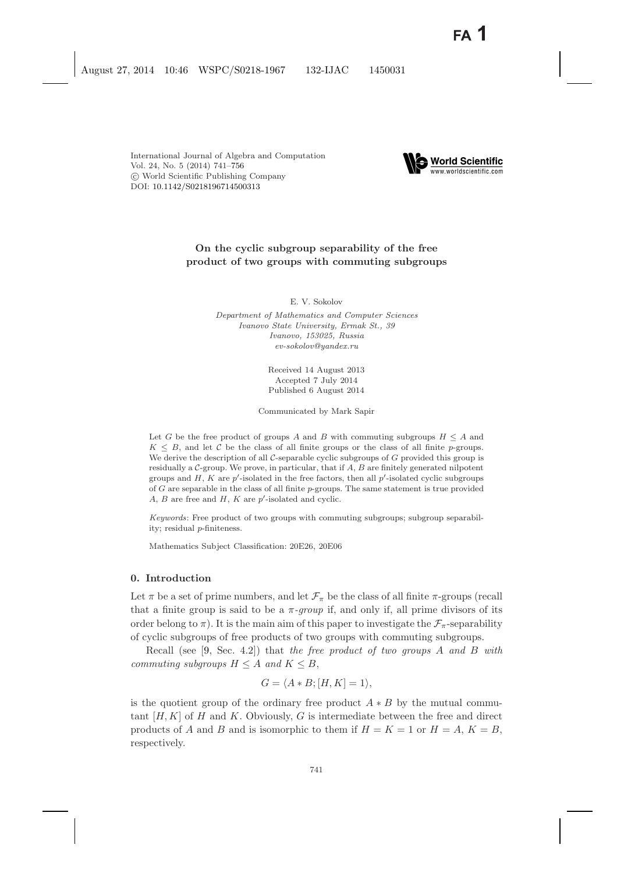

# **On the cyclic subgroup separability of the free product of two groups with commuting subgroups**

E. V. Sokolov

*Department of Mathematics and Computer Sciences Ivanovo State University, Ermak St., 39 Ivanovo, 153025, Russia ev-sokolov@yandex.ru*

> Received 14 August 2013 Accepted 7 July 2014 Published 6 August 2014

Communicated by Mark Sapir

Let *G* be the free product of groups *A* and *B* with commuting subgroups  $H \leq A$  and  $K \leq B$ , and let C be the class of all finite groups or the class of all finite *p*-groups. We derive the description of all C-separable cyclic subgroups of G provided this group is residually a C-group. We prove, in particular, that if *A*, *B* are finitely generated nilpotent groups and *H*, *K* are *p* -isolated in the free factors, then all *p* -isolated cyclic subgroups of *G* are separable in the class of all finite *p*-groups. The same statement is true provided *A*, *B* are free and *H*, *K* are *p* -isolated and cyclic.

*Keywords*: Free product of two groups with commuting subgroups; subgroup separability; residual *p*-finiteness.

Mathematics Subject Classification: 20E26, 20E06

### **0. Introduction**

Let  $\pi$  be a set of prime numbers, and let  $\mathcal{F}_{\pi}$  be the class of all finite  $\pi$ -groups (recall that a finite group is said to be a  $\pi$ -group if, and only if, all prime divisors of its order belong to  $\pi$ ). It is the main aim of this paper to investigate the  $\mathcal{F}_{\pi}$ -separability of cyclic subgroups of free products of two groups with commuting subgroups.

Recall (see [\[9,](#page-15-0) Sec. 4.2]) that *the free product of two groups* A *and* B *with commuting subgroups*  $H \leq A$  *and*  $K \leq B$ ,

$$
G = \langle A * B; [H, K] = 1 \rangle,
$$

is the quotient group of the ordinary free product  $A * B$  by the mutual commutant  $[H, K]$  of H and K. Obviously, G is intermediate between the free and direct products of A and B and is isomorphic to them if  $H = K = 1$  or  $H = A$ ,  $K = B$ , respectively.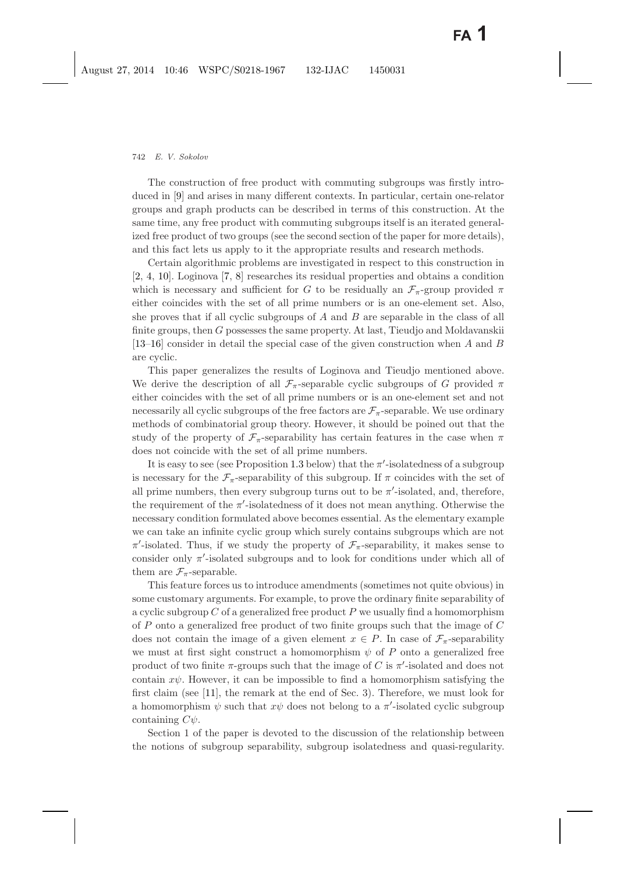The construction of free product with commuting subgroups was firstly introduced in [\[9\]](#page-15-1) and arises in many different contexts. In particular, certain one-relator groups and graph products can be described in terms of this construction. At the same time, any free product with commuting subgroups itself is an iterated generalized free product of two groups (see the second section of the paper for more details), and this fact lets us apply to it the appropriate results and research methods.

Certain algorithmic problems are investigated in respect to this construction in [\[2,](#page-14-1) [4,](#page-14-2) [10\]](#page-15-2). Loginova [\[7,](#page-14-3) [8\]](#page-15-3) researches its residual properties and obtains a condition which is necessary and sufficient for G to be residually an  $\mathcal{F}_{\pi}$ -group provided  $\pi$ either coincides with the set of all prime numbers or is an one-element set. Also, she proves that if all cyclic subgroups of  $A$  and  $B$  are separable in the class of all finite groups, then G possesses the same property. At last, Tieudjo and Moldavanskii [\[13](#page-15-4)[–16\]](#page-15-5) consider in detail the special case of the given construction when A and B are cyclic.

This paper generalizes the results of Loginova and Tieudjo mentioned above. We derive the description of all  $\mathcal{F}_{\pi}$ -separable cyclic subgroups of G provided  $\pi$ either coincides with the set of all prime numbers or is an one-element set and not necessarily all cyclic subgroups of the free factors are  $\mathcal{F}_{\pi}$ -separable. We use ordinary methods of combinatorial group theory. However, it should be poined out that the study of the property of  $\mathcal{F}_{\pi}$ -separability has certain features in the case when  $\pi$ does not coincide with the set of all prime numbers.

It is easy to see (see Proposition [1.3](#page-4-0) below) that the  $\pi'$ -isolatedness of a subgroup is necessary for the  $\mathcal{F}_{\pi}$ -separability of this subgroup. If  $\pi$  coincides with the set of all prime numbers, then every subgroup turns out to be  $\pi'$ -isolated, and, therefore, the requirement of the  $\pi'$ -isolatedness of it does not mean anything. Otherwise the necessary condition formulated above becomes essential. As the elementary example we can take an infinite cyclic group which surely contains subgroups which are not  $\pi'$ -isolated. Thus, if we study the property of  $\mathcal{F}_{\pi}$ -separability, it makes sense to consider only  $\pi'$ -isolated subgroups and to look for conditions under which all of them are  $\mathcal{F}_{\pi}$ -separable.

This feature forces us to introduce amendments (sometimes not quite obvious) in some customary arguments. For example, to prove the ordinary finite separability of a cyclic subgroup  $C$  of a generalized free product  $P$  we usually find a homomorphism of P onto a generalized free product of two finite groups such that the image of C does not contain the image of a given element  $x \in P$ . In case of  $\mathcal{F}_{\pi}$ -separability we must at first sight construct a homomorphism  $\psi$  of P onto a generalized free product of two finite  $\pi$ -groups such that the image of C is  $\pi'$ -isolated and does not contain  $x\psi$ . However, it can be impossible to find a homomorphism satisfying the first claim (see [\[11\]](#page-15-6), the remark at the end of Sec. 3). Therefore, we must look for a homomorphism  $\psi$  such that  $x\psi$  does not belong to a  $\pi'$ -isolated cyclic subgroup containing  $C\psi$ .

Section 1 of the paper is devoted to the discussion of the relationship between the notions of subgroup separability, subgroup isolatedness and quasi-regularity.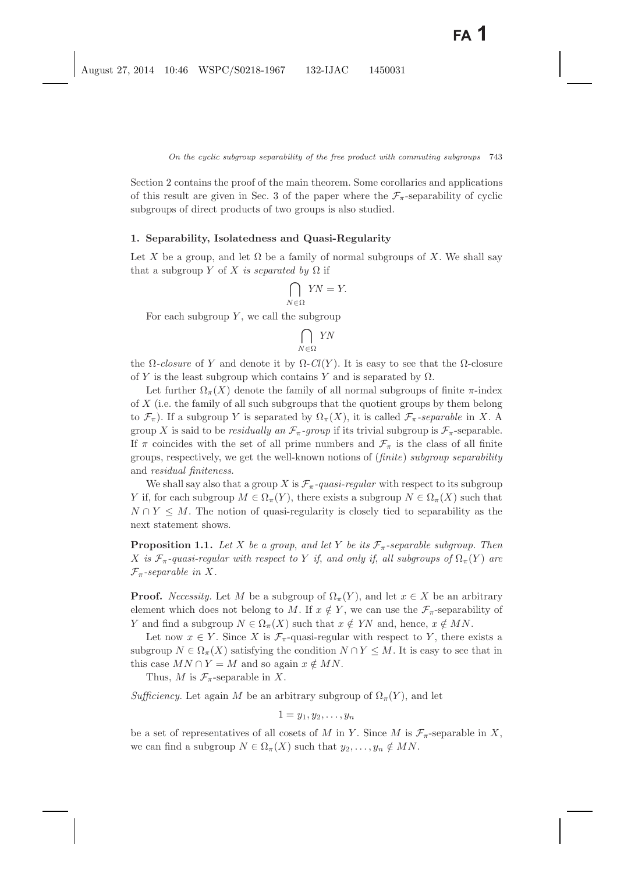Section 2 contains the proof of the main theorem. Some corollaries and applications of this result are given in Sec. 3 of the paper where the  $\mathcal{F}_{\pi}$ -separability of cyclic subgroups of direct products of two groups is also studied.

#### **1. Separability, Isolatedness and Quasi-Regularity**

Let X be a group, and let  $\Omega$  be a family of normal subgroups of X. We shall say that a subgroup Y of X *is separated by*  $\Omega$  if

$$
\bigcap_{N\in\Omega} YN=Y.
$$

For each subgroup  $Y$ , we call the subgroup

$$
\bigcap_{N\in\Omega} YN
$$

the  $\Omega$ -closure of Y and denote it by  $\Omega$ -Cl(Y). It is easy to see that the  $\Omega$ -closure of Y is the least subgroup which contains Y and is separated by  $\Omega$ .

Let further  $\Omega_{\pi}(X)$  denote the family of all normal subgroups of finite  $\pi$ -index of X (i.e. the family of all such subgroups that the quotient groups by them belong to  $\mathcal{F}_{\pi}$ ). If a subgroup Y is separated by  $\Omega_{\pi}(X)$ , it is called  $\mathcal{F}_{\pi}$ -separable in X. A group X is said to be *residually an*  $\mathcal{F}_{\pi}$ -group if its trivial subgroup is  $\mathcal{F}_{\pi}$ -separable. If  $\pi$  coincides with the set of all prime numbers and  $\mathcal{F}_{\pi}$  is the class of all finite groups, respectively, we get the well-known notions of (*finite*) *subgroup separability* and *residual finiteness*.

We shall say also that a group X is  $\mathcal{F}_{\pi}$ -quasi-regular with respect to its subgroup Y if, for each subgroup  $M \in \Omega_{\pi}(Y)$ , there exists a subgroup  $N \in \Omega_{\pi}(X)$  such that  $N \cap Y \leq M$ . The notion of quasi-regularity is closely tied to separability as the next statement shows.

<span id="page-2-0"></span>**Proposition 1.1.** Let X be a group, and let Y be its  $\mathcal{F}_{\pi}$ -separable subgroup. Then X *is*  $\mathcal{F}_{\pi}$ -quasi-regular with respect to Y if, and only if, all subgroups of  $\Omega_{\pi}(Y)$  are  $\mathcal{F}_{\pi}$ -separable in X.

**Proof.** *Necessity*. Let M be a subgroup of  $\Omega_{\pi}(Y)$ , and let  $x \in X$  be an arbitrary element which does not belong to M. If  $x \notin Y$ , we can use the  $\mathcal{F}_{\pi}$ -separability of Y and find a subgroup  $N \in \Omega_{\pi}(X)$  such that  $x \notin YN$  and, hence,  $x \notin MN$ .

Let now  $x \in Y$ . Since X is  $\mathcal{F}_{\pi}$ -quasi-regular with respect to Y, there exists a subgroup  $N \in \Omega_{\pi}(X)$  satisfying the condition  $N \cap Y \leq M$ . It is easy to see that in this case  $MN \cap Y = M$  and so again  $x \notin MN$ .

Thus, M is  $\mathcal{F}_{\pi}$ -separable in X.

*Sufficiency.* Let again M be an arbitrary subgroup of  $\Omega_{\pi}(Y)$ , and let

$$
1=y_1,y_2,\ldots,y_n
$$

be a set of representatives of all cosets of M in Y. Since M is  $\mathcal{F}_{\pi}$ -separable in X, we can find a subgroup  $N \in \Omega_{\pi}(X)$  such that  $y_2, \ldots, y_n \notin MN$ .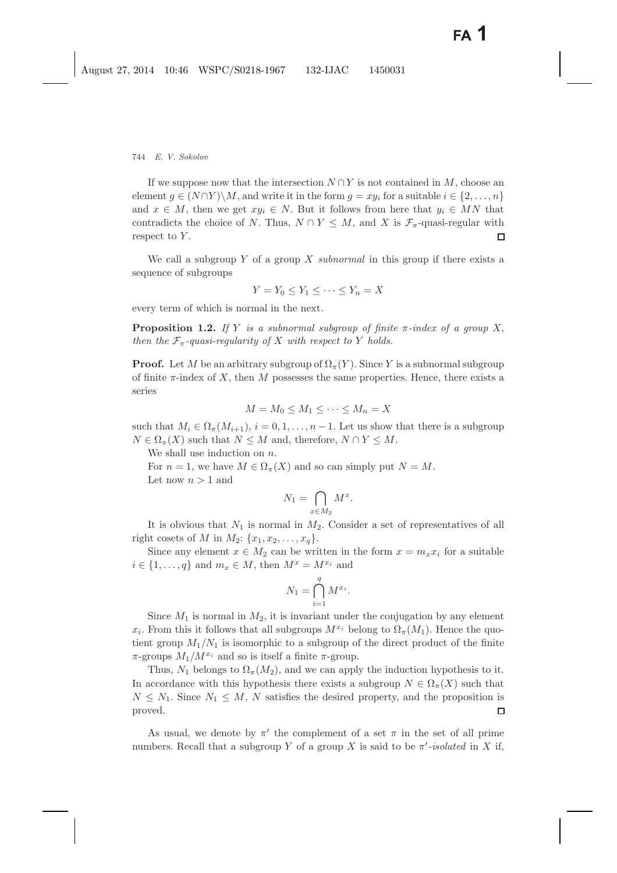If we suppose now that the intersection  $N \cap Y$  is not contained in M, choose an element  $g \in (N \cap Y) \backslash M$ , and write it in the form  $g = xy_i$  for a suitable  $i \in \{2, ..., n\}$ and  $x \in M$ , then we get  $xy_i \in N$ . But it follows from here that  $y_i \in MN$  that contradicts the choice of N. Thus,  $N \cap Y \leq M$ , and X is  $\mathcal{F}_{\pi}$ -quasi-regular with respect to  $Y$ .  $\Box$ 

We call a subgroup  $Y$  of a group  $X$  *subnormal* in this group if there exists a sequence of subgroups

$$
Y = Y_0 \le Y_1 \le \dots \le Y_n = X
$$

<span id="page-3-0"></span>every term of which is normal in the next.

**Proposition 1.2.** *If* Y *is a subnormal subgroup of finite* π*-index of a group* X, *then the*  $\mathcal{F}_{\pi}$ -quasi-regularity of X with respect to Y holds.

**Proof.** Let M be an arbitrary subgroup of  $\Omega_{\pi}(Y)$ . Since Y is a subnormal subgroup of finite  $\pi$ -index of X, then M possesses the same properties. Hence, there exists a series

$$
M = M_0 \le M_1 \le \cdots \le M_n = X
$$

such that  $M_i \in \Omega_{\pi}(M_{i+1}), i = 0, 1, \ldots, n-1$ . Let us show that there is a subgroup  $N \in \Omega_{\pi}(X)$  such that  $N \leq M$  and, therefore,  $N \cap Y \leq M$ .

We shall use induction on  $n$ .

For  $n = 1$ , we have  $M \in \Omega_{\pi}(X)$  and so can simply put  $N = M$ . Let now  $n > 1$  and

$$
N_1 = \bigcap_{x \in M_2} M^x.
$$

It is obvious that  $N_1$  is normal in  $M_2$ . Consider a set of representatives of all right cosets of M in  $M_2$ :  $\{x_1, x_2, \ldots, x_q\}$ .

Since any element  $x \in M_2$  can be written in the form  $x = m_x x_i$  for a suitable  $i \in \{1, \ldots, q\}$  and  $m_x \in M$ , then  $M^x = M^{x_i}$  and

$$
N_1 = \bigcap_{i=1}^q M^{x_i}.
$$

Since  $M_1$  is normal in  $M_2$ , it is invariant under the conjugation by any element  $x_i$ . From this it follows that all subgroups  $M^{x_i}$  belong to  $\Omega_{\pi}(M_1)$ . Hence the quotient group  $M_1/N_1$  is isomorphic to a subgroup of the direct product of the finite  $\pi$ -groups  $M_1/M^{x_i}$  and so is itself a finite  $\pi$ -group.

Thus,  $N_1$  belongs to  $\Omega_{\pi}(M_2)$ , and we can apply the induction hypothesis to it. In accordance with this hypothesis there exists a subgroup  $N \in \Omega_{\pi}(X)$  such that  $N \leq N_1$ . Since  $N_1 \leq M$ , N satisfies the desired property, and the proposition is proved.  $\Box$ 

As usual, we denote by  $\pi'$  the complement of a set  $\pi$  in the set of all prime numbers. Recall that a subgroup Y of a group X is said to be  $\pi'$ -isolated in X if,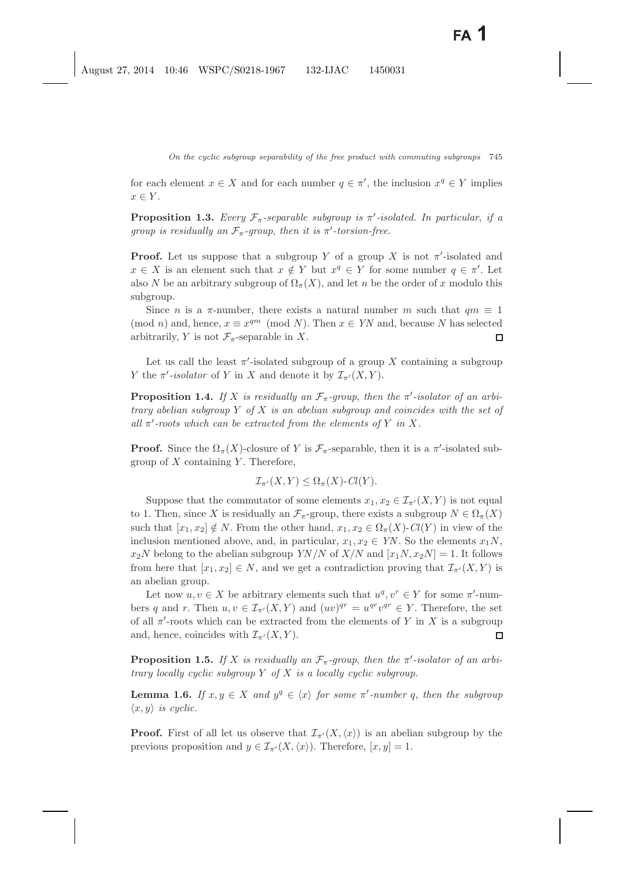<span id="page-4-0"></span>for each element  $x \in X$  and for each number  $q \in \pi'$ , the inclusion  $x^q \in Y$  implies  $x \in Y$ .

**Proposition 1.3.** *Every*  $\mathcal{F}_{\pi}$ -separable subgroup is  $\pi'$ -isolated. In particular, if a *group is residually an*  $\mathcal{F}_{\pi}$ -group, then it is  $\pi'$ -torsion-free.

**Proof.** Let us suppose that a subgroup Y of a group X is not  $\pi'$ -isolated and  $x \in X$  is an element such that  $x \notin Y$  but  $x^q \in Y$  for some number  $q \in \pi'$ . Let also N be an arbitrary subgroup of  $\Omega_{\pi}(X)$ , and let n be the order of x modulo this subgroup.

Since *n* is a  $\pi$ -number, there exists a natural number *m* such that  $qm \equiv 1$ (mod *n*) and, hence,  $x \equiv x^{qm} \pmod{N}$ . Then  $x \in YN$  and, because N has selected arbitrarily, Y is not  $\mathcal{F}_{\pi}$ -separable in X.  $\Box$ 

<span id="page-4-1"></span>Let us call the least  $\pi'$ -isolated subgroup of a group X containing a subgroup Y the  $\pi$ -isolator of Y in X and denote it by  $\mathcal{I}_{\pi'}(X,Y)$ .

**Proposition 1.4.** If X is residually an  $\mathcal{F}_{\pi}$ -group, then the  $\pi'$ -isolator of an arbi*trary abelian subgroup* Y *of* X *is an abelian subgroup and coincides with the set of all*  $\pi'$ -roots which can be extracted from the elements of Y in X.

**Proof.** Since the  $\Omega_{\pi}(X)$ -closure of Y is  $\mathcal{F}_{\pi}$ -separable, then it is a  $\pi'$ -isolated subgroup of  $X$  containing  $Y$ . Therefore,

$$
\mathcal{I}_{\pi'}(X,Y) \leq \Omega_{\pi}(X) \cdot Cl(Y).
$$

Suppose that the commutator of some elements  $x_1, x_2 \in \mathcal{I}_{\pi'}(X, Y)$  is not equal to 1. Then, since X is residually an  $\mathcal{F}_{\pi}$ -group, there exists a subgroup  $N \in \Omega_{\pi}(X)$ such that  $[x_1, x_2] \notin N$ . From the other hand,  $x_1, x_2 \in \Omega_{\pi}(X)$ -*Cl*(Y) in view of the inclusion mentioned above, and, in particular,  $x_1, x_2 \in YN$ . So the elements  $x_1N$ ,  $x_2N$  belong to the abelian subgroup *YN*/*N* of *X*/*N* and  $[x_1N, x_2N] = 1$ . It follows from here that  $[x_1, x_2] \in N$ , and we get a contradiction proving that  $\mathcal{I}_{\pi'}(X, Y)$  is an abelian group.

Let now  $u, v \in X$  be arbitrary elements such that  $u^q, v^r \in Y$  for some  $\pi'$ -numbers q and r. Then  $u, v \in \mathcal{I}_{\pi'}(X, Y)$  and  $(uv)^{qr} = u^{qr}v^{qr} \in Y$ . Therefore, the set of all  $\pi'$ -roots which can be extracted from the elements of Y in X is a subgroup and, hence, coincides with  $\mathcal{I}_{\pi'}(X, Y)$ .  $\Box$ 

<span id="page-4-2"></span>**Proposition 1.5.** If X is residually an  $\mathcal{F}_{\pi}$ -group, then the  $\pi'$ -isolator of an arbi*trary locally cyclic subgroup* Y *of* X *is a locally cyclic subgroup.*

**Lemma 1.6.** *If*  $x, y \in X$  *and*  $y^q \in \langle x \rangle$  *for some*  $\pi'$ -number q, then the subgroup  $\langle x, y \rangle$  *is cyclic.* 

**Proof.** First of all let us observe that  $\mathcal{I}_{\pi}(X,\langle x \rangle)$  is an abelian subgroup by the previous proposition and  $y \in \mathcal{I}_{\pi'}(X,\langle x \rangle)$ . Therefore,  $[x,y] = 1$ .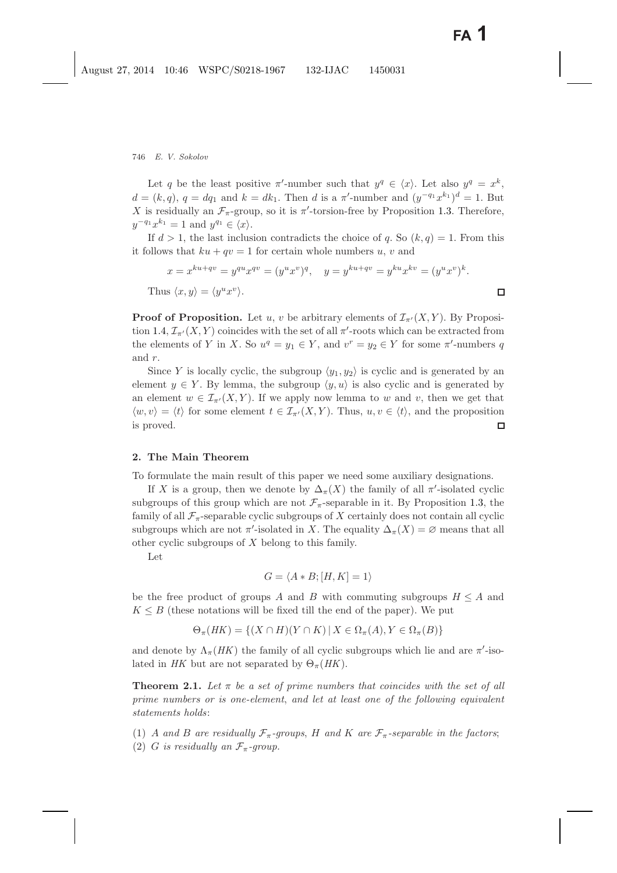Let q be the least positive  $\pi'$ -number such that  $y^q \in \langle x \rangle$ . Let also  $y^q = x^k$ ,  $d = (k, q), q = dq_1$  and  $k = dk_1$ . Then d is a  $\pi'$ -number and  $(y^{-q_1}x^{k_1})^d = 1$ . But X is residually an  $\mathcal{F}_{\pi}$ -group, so it is  $\pi'$ -torsion-free by Proposition [1.3.](#page-4-0) Therefore,  $y^{-q_1}x^{k_1} = 1$  and  $y^{q_1} \in \langle x \rangle$ .

If  $d > 1$ , the last inclusion contradicts the choice of q. So  $(k, q) = 1$ . From this it follows that  $ku + qv = 1$  for certain whole numbers u, v and

$$
x = x^{ku+qv} = y^{qu}x^{qv} = (y^ux^v)^q, \quad y = y^{ku+qv} = y^{ku}x^{kv} = (y^ux^v)^k.
$$
  
Thus  $\langle x, y \rangle = \langle y^ux^v \rangle.$ 

**Proof of Proposition.** Let u, v be arbitrary elements of  $\mathcal{I}_{\pi'}(X, Y)$ . By Proposi-tion [1.4,](#page-4-1)  $\mathcal{I}_{\pi'}(X, Y)$  coincides with the set of all  $\pi'$ -roots which can be extracted from the elements of Y in X. So  $u^q = y_1 \in Y$ , and  $v^r = y_2 \in Y$  for some  $\pi'$ -numbers q and r.

Since Y is locally cyclic, the subgroup  $\langle y_1, y_2 \rangle$  is cyclic and is generated by an element  $y \in Y$ . By lemma, the subgroup  $\langle y, u \rangle$  is also cyclic and is generated by an element  $w \in \mathcal{I}_{\pi'}(X, Y)$ . If we apply now lemma to w and v, then we get that  $\langle w, v \rangle = \langle t \rangle$  for some element  $t \in \mathcal{I}_{\pi'}(X, Y)$ . Thus,  $u, v \in \langle t \rangle$ , and the proposition is proved.  $\Box$ 

### **2. The Main Theorem**

To formulate the main result of this paper we need some auxiliary designations.

If X is a group, then we denote by  $\Delta_{\pi}(X)$  the family of all  $\pi'$ -isolated cyclic subgroups of this group which are not  $\mathcal{F}_{\pi}$ -separable in it. By Proposition [1.3,](#page-4-0) the family of all  $\mathcal{F}_{\pi}$ -separable cyclic subgroups of X certainly does not contain all cyclic subgroups which are not  $\pi'$ -isolated in X. The equality  $\Delta_{\pi}(X) = \varnothing$  means that all other cyclic subgroups of X belong to this family.

Let

$$
G = \langle A * B; [H, K] = 1 \rangle
$$

be the free product of groups A and B with commuting subgroups  $H \leq A$  and  $K \leq B$  (these notations will be fixed till the end of the paper). We put

$$
\Theta_{\pi}(HK) = \{(X \cap H)(Y \cap K) \mid X \in \Omega_{\pi}(A), Y \in \Omega_{\pi}(B)\}
$$

<span id="page-5-0"></span>and denote by  $\Lambda_{\pi}(HK)$  the family of all cyclic subgroups which lie and are  $\pi'$ -isolated in *HK* but are not separated by  $\Theta_{\pi}(HK)$ .

**Theorem 2.1.** Let  $\pi$  be a set of prime numbers that coincides with the set of all *prime numbers or is one-element*, *and let at least one of the following equivalent statements holds*:

(1) A and B are residually  $\mathcal{F}_{\pi}$ -groups, H and K are  $\mathcal{F}_{\pi}$ -separable in the factors;

(2) G *is residually an*  $\mathcal{F}_{\pi}$ -group.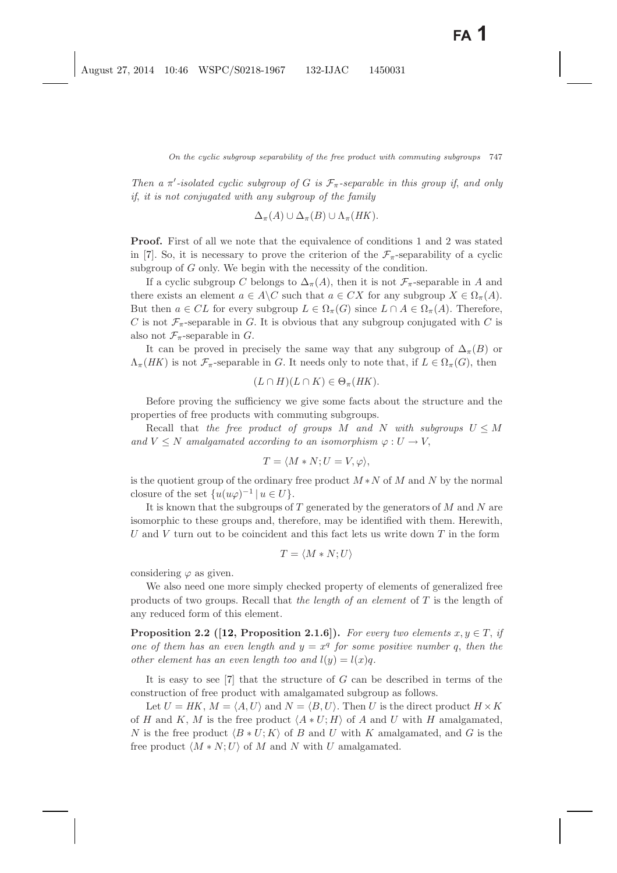*Then a*  $\pi$ -isolated cyclic subgroup of G is  $\mathcal{F}_{\pi}$ -separable in this group if, and only *if*, *it is not conjugated with any subgroup of the family*

$$
\Delta_{\pi}(A) \cup \Delta_{\pi}(B) \cup \Lambda_{\pi}(HK).
$$

**Proof.** First of all we note that the equivalence of conditions 1 and 2 was stated in [\[7\]](#page-14-4). So, it is necessary to prove the criterion of the  $\mathcal{F}_{\pi}$ -separability of a cyclic subgroup of G only. We begin with the necessity of the condition.

If a cyclic subgroup C belongs to  $\Delta_{\pi}(A)$ , then it is not  $\mathcal{F}_{\pi}$ -separable in A and there exists an element  $a \in A \backslash C$  such that  $a \in CX$  for any subgroup  $X \in \Omega_{\pi}(A)$ . But then  $a \in CL$  for every subgroup  $L \in \Omega_{\pi}(G)$  since  $L \cap A \in \Omega_{\pi}(A)$ . Therefore, C is not  $\mathcal{F}_{\pi}$ -separable in G. It is obvious that any subgroup conjugated with C is also not  $\mathcal{F}_{\pi}$ -separable in G.

It can be proved in precisely the same way that any subgroup of  $\Delta_{\pi}(B)$  or  $\Lambda_{\pi}(HK)$  is not  $\mathcal{F}_{\pi}$ -separable in G. It needs only to note that, if  $L \in \Omega_{\pi}(G)$ , then

$$
(L \cap H)(L \cap K) \in \Theta_{\pi}(HK).
$$

Before proving the sufficiency we give some facts about the structure and the properties of free products with commuting subgroups.

Recall that *the free product of groups*  $M$  *and*  $N$  *with subgroups*  $U \leq M$ and  $V \leq N$  amalgamated according to an isomorphism  $\varphi : U \to V$ ,

$$
T = \langle M * N; U = V, \varphi \rangle,
$$

is the quotient group of the ordinary free product  $M*N$  of M and N by the normal closure of the set  $\{u(u\varphi)^{-1} \mid u \in U\}.$ 

It is known that the subgroups of  $T$  generated by the generators of  $M$  and  $N$  are isomorphic to these groups and, therefore, may be identified with them. Herewith, U and V turn out to be coincident and this fact lets us write down  $T$  in the form

$$
T = \langle M * N; U \rangle
$$

considering  $\varphi$  as given.

We also need one more simply checked property of elements of generalized free products of two groups. Recall that *the length of an element* of T is the length of any reduced form of this element.

<span id="page-6-0"></span>**Proposition 2.2** ([\[12,](#page-15-7) Proposition 2.1.6]). For every two elements  $x, y \in T$ , if *one of them has an even length and*  $y = x^q$  *for some positive number* q, *then the other element has an even length too and*  $l(y) = l(x)q$ .

It is easy to see  $[7]$  that the structure of G can be described in terms of the construction of free product with amalgamated subgroup as follows.

Let  $U = HK$ ,  $M = \langle A, U \rangle$  and  $N = \langle B, U \rangle$ . Then U is the direct product  $H \times K$ of H and K, M is the free product  $\langle A * U; H \rangle$  of A and U with H amalgamated, N is the free product  $\langle B * U; K \rangle$  of B and U with K amalgamated, and G is the free product  $\langle M * N; U \rangle$  of M and N with U amalgamated.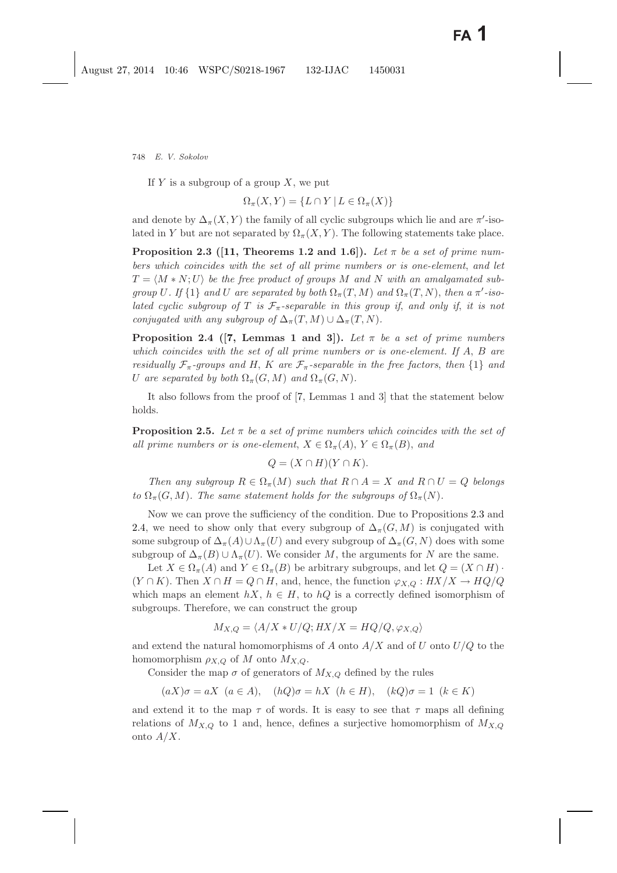If  $Y$  is a subgroup of a group  $X$ , we put

$$
\Omega_{\pi}(X,Y) = \{ L \cap Y \mid L \in \Omega_{\pi}(X) \}
$$

<span id="page-7-0"></span>and denote by  $\Delta_{\pi}(X, Y)$  the family of all cyclic subgroups which lie and are  $\pi'$ -isolated in Y but are not separated by  $\Omega_{\pi}(X, Y)$ . The following statements take place.

**Proposition 2.3** ([\[11,](#page-15-6) Theorems 1.2 and 1.6]). Let  $\pi$  be a set of prime num*bers which coincides with the set of all prime numbers or is one-element*, *and let*  $T = \langle M \ast N ; U \rangle$  be the free product of groups  $M$  and  $N$  with an amalgamated sub*group* U. If  $\{1\}$  *and* U *are separated by both*  $\Omega_{\pi}(T, M)$  *and*  $\Omega_{\pi}(T, N)$ , *then a*  $\pi'$ -*isolated cyclic subgroup of* T *is*  $\mathcal{F}_{\pi}$ -separable in this group if, and only if, it is not *conjugated with any subgroup of*  $\Delta_{\pi}(T,M) \cup \Delta_{\pi}(T,N)$ *.* 

<span id="page-7-1"></span>**Proposition 2.4** ([\[7,](#page-14-3) Lemmas 1 and 3]). Let  $\pi$  be a set of prime numbers *which coincides with the set of all prime numbers or is one-element. If* A, B *are residually*  $\mathcal{F}_{\pi}$ -groups and H, K are  $\mathcal{F}_{\pi}$ -separable in the free factors, then  $\{1\}$  and U are separated by both  $\Omega_{\pi}(G, M)$  and  $\Omega_{\pi}(G, N)$ .

<span id="page-7-2"></span>It also follows from the proof of [\[7,](#page-14-3) Lemmas 1 and 3] that the statement below holds.

**Proposition 2.5.** Let  $\pi$  be a set of prime numbers which coincides with the set of *all prime numbers or is one-element*,  $X \in \Omega_{\pi}(A)$ ,  $Y \in \Omega_{\pi}(B)$ , and

$$
Q = (X \cap H)(Y \cap K).
$$

*Then any subgroup*  $R \in \Omega_{\pi}(M)$  *such that*  $R \cap A = X$  *and*  $R \cap U = Q$  *belongs to*  $\Omega_{\pi}(G, M)$ *. The same statement holds for the subgroups of*  $\Omega_{\pi}(N)$ *.* 

Now we can prove the sufficiency of the condition. Due to Propositions [2.3](#page-7-0) and [2.4,](#page-7-1) we need to show only that every subgroup of  $\Delta_{\pi}(G, M)$  is conjugated with some subgroup of  $\Delta_{\pi}(A) \cup \Lambda_{\pi}(U)$  and every subgroup of  $\Delta_{\pi}(G, N)$  does with some subgroup of  $\Delta_{\pi}(B) \cup \Lambda_{\pi}(U)$ . We consider M, the arguments for N are the same.

Let  $X \in \Omega_{\pi}(A)$  and  $Y \in \Omega_{\pi}(B)$  be arbitrary subgroups, and let  $Q = (X \cap H)$ .  $(Y \cap K)$ . Then  $X \cap H = Q \cap H$ , and, hence, the function  $\varphi_{X,Q} : HX/X \to HQ/Q$ which maps an element  $hX$ ,  $h \in H$ , to  $hQ$  is a correctly defined isomorphism of subgroups. Therefore, we can construct the group

$$
M_{X,Q} = \langle A/X * U/Q; HX/X = HQ/Q, \varphi_{X,Q} \rangle
$$

and extend the natural homomorphisms of  $A$  onto  $A/X$  and of  $U$  onto  $U/Q$  to the homomorphism  $\rho_{X,Q}$  of M onto  $M_{X,Q}$ .

Consider the map  $\sigma$  of generators of  $M_{X,Q}$  defined by the rules

 $(aX)\sigma = aX$   $(a \in A)$ ,  $(hQ)\sigma = hX$   $(h \in H)$ ,  $(kQ)\sigma = 1$   $(k \in K)$ 

and extend it to the map  $\tau$  of words. It is easy to see that  $\tau$  maps all defining relations of  $M_{X,Q}$  to 1 and, hence, defines a surjective homomorphism of  $M_{X,Q}$ onto  $A/X$ .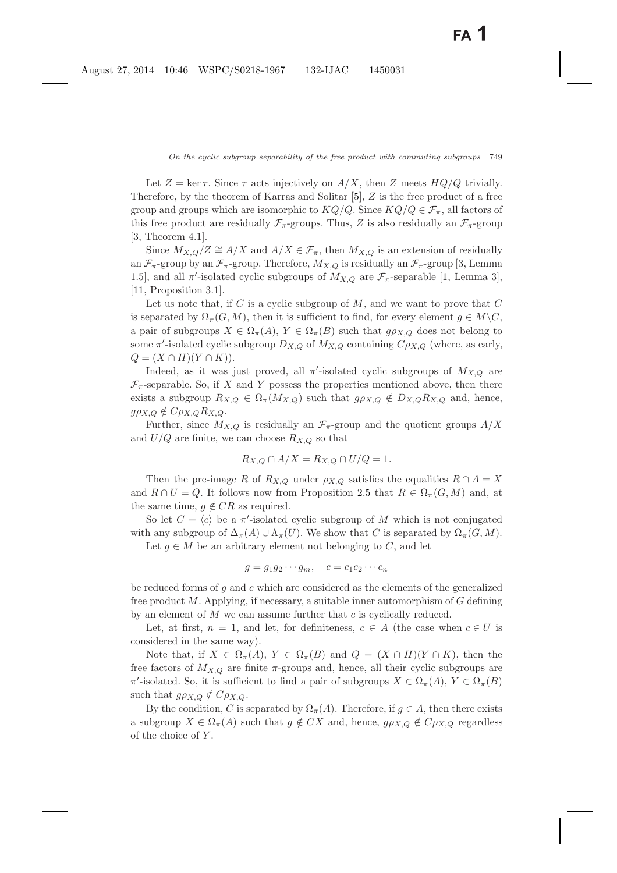Let  $Z = \ker \tau$ . Since  $\tau$  acts injectively on  $A/X$ , then Z meets  $HQ/Q$  trivially. Therefore, by the theorem of Karras and Solitar [\[5\]](#page-14-5), Z is the free product of a free group and groups which are isomorphic to  $KQ/Q$ . Since  $KQ/Q \in \mathcal{F}_{\pi}$ , all factors of this free product are residually  $\mathcal{F}_{\pi}$ -groups. Thus, Z is also residually an  $\mathcal{F}_{\pi}$ -group [\[3,](#page-14-6) Theorem 4.1].

Since  $M_{X,Q}/Z \cong A/X$  and  $A/X \in \mathcal{F}_{\pi}$ , then  $M_{X,Q}$  is an extension of residually an  $\mathcal{F}_{\pi}$ -group by an  $\mathcal{F}_{\pi}$ -group. Therefore,  $M_{X,Q}$  is residually an  $\mathcal{F}_{\pi}$ -group [\[3,](#page-14-6) Lemma 1.5], and all  $\pi'$ -isolated cyclic subgroups of  $M_{X,Q}$  are  $\mathcal{F}_{\pi}$ -separable [\[1,](#page-14-7) Lemma 3], [\[11,](#page-15-8) Proposition 3.1].

Let us note that, if  $C$  is a cyclic subgroup of  $M$ , and we want to prove that  $C$ is separated by  $\Omega_{\pi}(G, M)$ , then it is sufficient to find, for every element  $g \in M \backslash C$ , a pair of subgroups  $X \in \Omega_{\pi}(A), Y \in \Omega_{\pi}(B)$  such that  $g \rho_{X,Q}$  does not belong to some  $\pi'$ -isolated cyclic subgroup  $D_{X,Q}$  of  $M_{X,Q}$  containing  $C_{\rho_{X,Q}}$  (where, as early,  $Q = (X \cap H)(Y \cap K).$ 

Indeed, as it was just proved, all  $\pi'$ -isolated cyclic subgroups of  $M_{X,Q}$  are  $\mathcal{F}_{\pi}$ -separable. So, if X and Y possess the properties mentioned above, then there exists a subgroup  $R_{X,Q} \in \Omega_{\pi}(M_{X,Q})$  such that  $g \rho_{X,Q} \notin D_{X,Q}R_{X,Q}$  and, hence,  $g\rho_{X,Q} \notin C\rho_{X,Q}R_{X,Q}.$ 

Further, since  $M_{X,Q}$  is residually an  $\mathcal{F}_{\pi}$ -group and the quotient groups  $A/X$ and  $U/Q$  are finite, we can choose  $R_{X,Q}$  so that

$$
R_{X,Q} \cap A/X = R_{X,Q} \cap U/Q = 1.
$$

Then the pre-image R of  $R_{X,Q}$  under  $\rho_{X,Q}$  satisfies the equalities  $R \cap A = X$ and  $R \cap U = Q$ . It follows now from Proposition [2.5](#page-7-2) that  $R \in \Omega_{\pi}(G, M)$  and, at the same time,  $q \notin CR$  as required.

So let  $C = \langle c \rangle$  be a  $\pi'$ -isolated cyclic subgroup of M which is not conjugated with any subgroup of  $\Delta_{\pi}(A) \cup \Lambda_{\pi}(U)$ . We show that C is separated by  $\Omega_{\pi}(G, M)$ .

Let  $g \in M$  be an arbitrary element not belonging to C, and let

$$
g = g_1 g_2 \cdots g_m, \quad c = c_1 c_2 \cdots c_n
$$

be reduced forms of  $g$  and  $c$  which are considered as the elements of the generalized free product  $M$ . Applying, if necessary, a suitable inner automorphism of  $G$  defining by an element of  $M$  we can assume further that  $c$  is cyclically reduced.

Let, at first,  $n = 1$ , and let, for definiteness,  $c \in A$  (the case when  $c \in U$  is considered in the same way).

Note that, if  $X \in \Omega_{\pi}(A), Y \in \Omega_{\pi}(B)$  and  $Q = (X \cap H)(Y \cap K)$ , then the free factors of  $M_{X,Q}$  are finite  $\pi$ -groups and, hence, all their cyclic subgroups are  $\pi'$ -isolated. So, it is sufficient to find a pair of subgroups  $X \in \Omega_{\pi}(A), Y \in \Omega_{\pi}(B)$ such that  $g\rho_{X,Q} \notin C\rho_{X,Q}$ .

By the condition, C is separated by  $\Omega_{\pi}(A)$ . Therefore, if  $g \in A$ , then there exists a subgroup  $X \in \Omega_{\pi}(A)$  such that  $g \notin CX$  and, hence,  $g \rho_{X,Q} \notin C \rho_{X,Q}$  regardless of the choice of Y .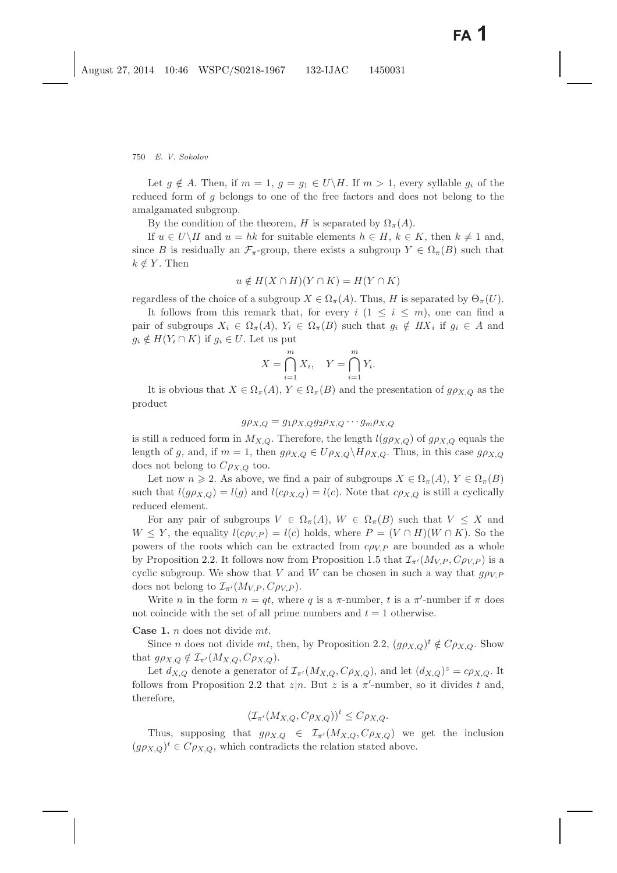Let  $g \notin A$ . Then, if  $m = 1$ ,  $g = g_1 \in U\backslash H$ . If  $m > 1$ , every syllable  $g_i$  of the reduced form of g belongs to one of the free factors and does not belong to the amalgamated subgroup.

By the condition of the theorem, H is separated by  $\Omega_{\pi}(A)$ .

If  $u \in U\backslash H$  and  $u = hk$  for suitable elements  $h \in H$ ,  $k \in K$ , then  $k \neq 1$  and, since B is residually an  $\mathcal{F}_{\pi}$ -group, there exists a subgroup  $Y \in \Omega_{\pi}(B)$  such that  $k \notin Y$ . Then

$$
u \notin H(X \cap H)(Y \cap K) = H(Y \cap K)
$$

regardless of the choice of a subgroup  $X \in \Omega_{\pi}(A)$ . Thus, H is separated by  $\Theta_{\pi}(U)$ .

It follows from this remark that, for every  $i$   $(1 \leq i \leq m)$ , one can find a pair of subgroups  $X_i \in \Omega_{\pi}(A), Y_i \in \Omega_{\pi}(B)$  such that  $g_i \notin H X_i$  if  $g_i \in A$  and  $g_i \notin H(Y_i \cap K)$  if  $g_i \in U$ . Let us put

$$
X = \bigcap_{i=1}^{m} X_i, \quad Y = \bigcap_{i=1}^{m} Y_i.
$$

It is obvious that  $X \in \Omega_{\pi}(A), Y \in \Omega_{\pi}(B)$  and the presentation of  $g \rho_{X,Q}$  as the product

$$
g\rho_{X,Q} = g_1\rho_{X,Q}g_2\rho_{X,Q}\cdots g_m\rho_{X,Q}
$$

is still a reduced form in  $M_{X,Q}$ . Therefore, the length  $l(g\rho_{X,Q})$  of  $g\rho_{X,Q}$  equals the length of g, and, if  $m = 1$ , then  $g \rho_{X,Q} \in U \rho_{X,Q} \backslash H \rho_{X,Q}$ . Thus, in this case  $g \rho_{X,Q}$ does not belong to  $C\rho_{X,Q}$  too.

Let now  $n \geq 2$ . As above, we find a pair of subgroups  $X \in \Omega_{\pi}(A), Y \in \Omega_{\pi}(B)$ such that  $l(g\rho_{X,Q}) = l(g)$  and  $l(c\rho_{X,Q}) = l(c)$ . Note that  $c\rho_{X,Q}$  is still a cyclically reduced element.

For any pair of subgroups  $V \in \Omega_{\pi}(A), W \in \Omega_{\pi}(B)$  such that  $V \leq X$  and  $W \leq Y$ , the equality  $l(c\rho_{V,P}) = l(c)$  holds, where  $P = (V \cap H)(W \cap K)$ . So the powers of the roots which can be extracted from  $c\rho_{V,P}$  are bounded as a whole by Proposition [2.2.](#page-6-0) It follows now from Proposition [1.5](#page-4-2) that  $\mathcal{I}_{\pi'}(M_{V,P}, C \rho_{V,P})$  is a cyclic subgroup. We show that V and W can be chosen in such a way that  $g \rho_{V,P}$ does not belong to  $\mathcal{I}_{\pi'}(M_{V.P}, C\rho_{V.P}).$ 

Write *n* in the form  $n = qt$ , where *q* is a  $\pi$ -number, *t* is a  $\pi'$ -number if  $\pi$  does not coincide with the set of all prime numbers and  $t = 1$  otherwise.

**Case 1.** n does not divide mt.

Since *n* does not divide *mt*, then, by Proposition [2.2,](#page-6-0)  $(g \rho_{X,Q})^t \notin C \rho_{X,Q}$ . Show that  $g\rho_{X,Q} \notin \mathcal{I}_{\pi'}(M_{X,Q},\mathcal{C}\rho_{X,Q}).$ 

Let  $d_{X,Q}$  denote a generator of  $\mathcal{I}_{\pi'}(M_{X,Q},\mathcal{C}\rho_{X,Q})$ , and let  $(d_{X,Q})^z = c\rho_{X,Q}$ . It follows from Proposition [2.2](#page-6-0) that  $z|n$ . But z is a  $\pi'$ -number, so it divides t and, therefore,

$$
(\mathcal{I}_{\pi'}(M_{X,Q}, C\rho_{X,Q}))^t \leq C\rho_{X,Q}.
$$

Thus, supposing that  $g \rho_{X,Q} \in \mathcal{I}_{\pi'}(M_{X,Q}, \mathcal{C} \rho_{X,Q})$  we get the inclusion  $(g \rho_{X,Q})^t \in C \rho_{X,Q}$ , which contradicts the relation stated above.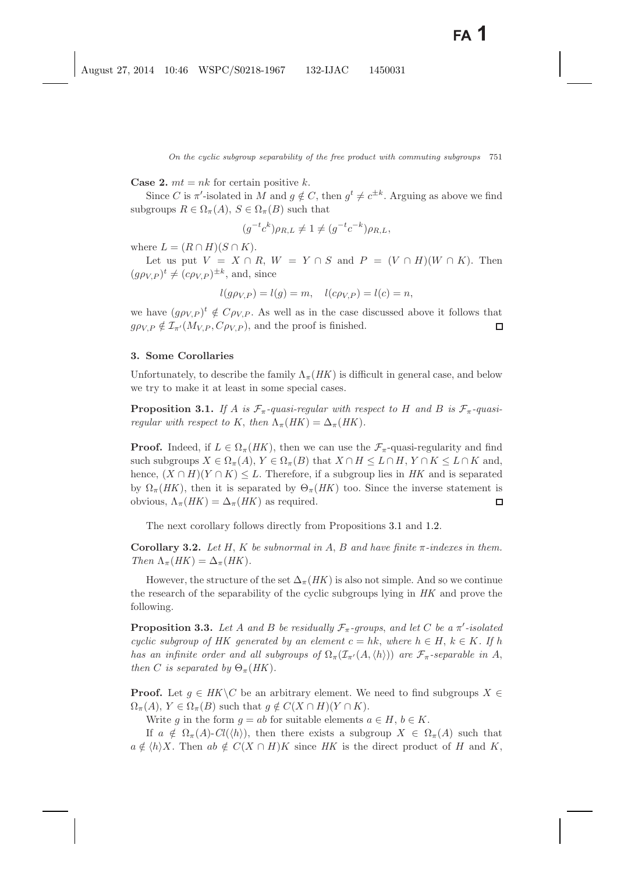**Case 2.**  $mt = nk$  for certain positive k.

Since C is  $\pi'$ -isolated in M and  $g \notin C$ , then  $g^t \neq c^{\pm k}$ . Arguing as above we find subgroups  $R \in \Omega_{\pi}(A), S \in \Omega_{\pi}(B)$  such that

$$
(g^{-t}c^k)\rho_{R,L} \neq 1 \neq (g^{-t}c^{-k})\rho_{R,L},
$$

where  $L = (R \cap H)(S \cap K)$ .

Let us put  $V = X \cap R$ ,  $W = Y \cap S$  and  $P = (V \cap H)(W \cap K)$ . Then  $(g\rho_{V,P})^t \neq (c\rho_{V,P})^{\pm k}$ , and, since

$$
l(g\rho_{V,P}) = l(g) = m, \quad l(c\rho_{V,P}) = l(c) = n,
$$

we have  $(g \rho_{V,P})^t \notin C \rho_{V,P}$ . As well as in the case discussed above it follows that  $q \rho_{V,P} \notin \mathcal{I}_{\pi'}(M_{V,P}, C \rho_{V,P})$ , and the proof is finished.  $\Box$ 

#### **3. Some Corollaries**

<span id="page-10-0"></span>Unfortunately, to describe the family  $\Lambda_{\pi}(HK)$  is difficult in general case, and below we try to make it at least in some special cases.

**Proposition 3.1.** If A is  $\mathcal{F}_{\pi}$ -quasi-regular with respect to H and B is  $\mathcal{F}_{\pi}$ -quasi*regular with respect to* K, *then*  $\Lambda_{\pi}(HK) = \Delta_{\pi}(HK)$ .

**Proof.** Indeed, if  $L \in \Omega_{\pi}(HK)$ , then we can use the  $\mathcal{F}_{\pi}$ -quasi-regularity and find such subgroups  $X \in \Omega_{\pi}(A), Y \in \Omega_{\pi}(B)$  that  $X \cap H \leq L \cap H, Y \cap K \leq L \cap K$  and, hence,  $(X \cap H)(Y \cap K) \leq L$ . Therefore, if a subgroup lies in *HK* and is separated by  $\Omega_{\pi}(HK)$ , then it is separated by  $\Theta_{\pi}(HK)$  too. Since the inverse statement is obvious,  $\Lambda_{\pi}(HK)=\Delta_{\pi}(HK)$  as required.  $\Box$ 

The next corollary follows directly from Propositions [3.1](#page-10-0) and [1.2.](#page-3-0)

**Corollary 3.2.** *Let*  $H$ ,  $K$  *be subnormal in*  $A$ ,  $B$  *and have finite*  $\pi$ *-indexes in them. Then*  $\Lambda_{\pi}(HK) = \Delta_{\pi}(HK)$ .

However, the structure of the set  $\Delta_{\pi}(HK)$  is also not simple. And so we continue the research of the separability of the cyclic subgroups lying in *HK* and prove the following.

<span id="page-10-2"></span><span id="page-10-1"></span>**Proposition 3.3.** Let A and B be residually  $\mathcal{F}_{\pi}$ -groups, and let C be a  $\pi'$ -isolated *cyclic subgroup of HK generated by an element*  $c = hk$ , *where*  $h \in H$ ,  $k \in K$ . If h *has an infinite order and all subgroups of*  $\Omega_{\pi}(\mathcal{I}_{\pi'}(A, \langle h \rangle))$  *are*  $\mathcal{F}_{\pi}$ -separable in A, *then C is separated by*  $\Theta_{\pi}(HK)$ *.* 

**Proof.** Let  $q \in HK \backslash C$  be an arbitrary element. We need to find subgroups  $X \in$  $\Omega_{\pi}(A), Y \in \Omega_{\pi}(B)$  such that  $q \notin C(X \cap H)(Y \cap K)$ .

Write g in the form  $g = ab$  for suitable elements  $a \in H$ ,  $b \in K$ .

If  $a \notin \Omega_{\pi}(A)$ - $Cl(\langle h \rangle)$ , then there exists a subgroup  $X \in \Omega_{\pi}(A)$  such that  $a \notin \langle h \rangle X$ . Then  $ab \notin C(X \cap H)K$  since HK is the direct product of H and K,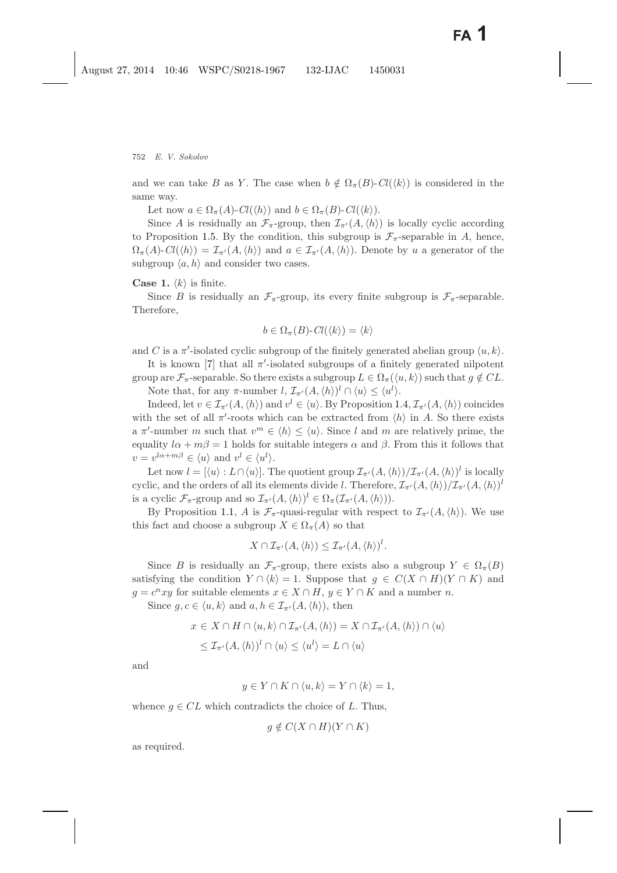and we can take B as Y. The case when  $b \notin \Omega_{\pi}(B)$ - $Cl(\langle k \rangle)$  is considered in the same way.

Let now  $a \in \Omega_{\pi}(A)$ - $Cl(\langle h \rangle)$  and  $b \in \Omega_{\pi}(B)$ - $Cl(\langle k \rangle)$ .

Since A is residually an  $\mathcal{F}_{\pi}$ -group, then  $\mathcal{I}_{\pi'}(A,\langle h \rangle)$  is locally cyclic according to Proposition [1.5.](#page-4-2) By the condition, this subgroup is  $\mathcal{F}_{\pi}$ -separable in A, hence,  $\Omega_{\pi}(A)$ - $Cl(\langle h \rangle) = \mathcal{I}_{\pi'}(A,\langle h \rangle)$  and  $a \in \mathcal{I}_{\pi'}(A,\langle h \rangle)$ . Denote by u a generator of the subgroup  $\langle a, h \rangle$  and consider two cases.

**Case 1.**  $\langle k \rangle$  is finite.

Since B is residually an  $\mathcal{F}_{\pi}$ -group, its every finite subgroup is  $\mathcal{F}_{\pi}$ -separable. Therefore,

$$
b \in \Omega_{\pi}(B) \text{-} Cl(\langle k \rangle) = \langle k \rangle
$$

and C is a  $\pi'$ -isolated cyclic subgroup of the finitely generated abelian group  $\langle u, k \rangle$ .

It is known [\[7\]](#page-14-3) that all  $\pi'$ -isolated subgroups of a finitely generated nilpotent

group are  $\mathcal{F}_{\pi}$ -separable. So there exists a subgroup  $L \in \Omega_{\pi}(\langle u, k \rangle)$  such that  $g \notin CL$ . Note that, for any  $\pi$ -number  $l, \mathcal{I}_{\pi'}(A, \langle h \rangle)^l \cap \langle u \rangle \leq \langle u^l \rangle$ .

Indeed, let  $v \in \mathcal{I}_{\pi'}(A, \langle h \rangle)$  and  $v^l \in \langle u \rangle$ . By Proposition [1.4,](#page-4-1)  $\mathcal{I}_{\pi'}(A, \langle h \rangle)$  coincides with the set of all  $\pi'$ -roots which can be extracted from  $\langle h \rangle$  in A. So there exists a  $\pi'$ -number m such that  $v^m \in \langle h \rangle \leq \langle u \rangle$ . Since l and m are relatively prime, the equality  $l\alpha + m\beta = 1$  holds for suitable integers  $\alpha$  and  $\beta$ . From this it follows that  $v = v^{l\alpha + m\beta} \in \langle u \rangle \text{ and } v^l \in \langle u^l \rangle.$ 

Let now  $l = [\langle u \rangle : L \cap \langle u \rangle]$ . The quotient group  $\mathcal{I}_{\pi'}(A, \langle h \rangle) / \mathcal{I}_{\pi'}(A, \langle h \rangle)^{l}$  is locally cyclic, and the orders of all its elements divide l. Therefore,  $\mathcal{I}_{\pi'}(A,\langle h\rangle)/\mathcal{I}_{\pi'}(A,\langle h\rangle)^l$ is a cyclic  $\mathcal{F}_{\pi}$ -group and so  $\mathcal{I}_{\pi'}(A,\langle h\rangle)^l \in \Omega_{\pi}(\mathcal{I}_{\pi'}(A,\langle h\rangle)).$ 

By Proposition [1.1,](#page-2-0) A is  $\mathcal{F}_{\pi}$ -quasi-regular with respect to  $\mathcal{I}_{\pi'}(A,\langle h \rangle)$ . We use this fact and choose a subgroup  $X \in \Omega_{\pi}(A)$  so that

$$
X \cap \mathcal{I}_{\pi'}(A, \langle h \rangle) \leq \mathcal{I}_{\pi'}(A, \langle h \rangle)^l.
$$

Since B is residually an  $\mathcal{F}_{\pi}$ -group, there exists also a subgroup  $Y \in \Omega_{\pi}(B)$ satisfying the condition  $Y \cap \langle k \rangle = 1$ . Suppose that  $g \in C(X \cap H)(Y \cap K)$  and  $q = c<sup>n</sup>xy$  for suitable elements  $x \in X \cap H$ ,  $y \in Y \cap K$  and a number n.

Since  $g, c \in \langle u, k \rangle$  and  $a, h \in \mathcal{I}_{\pi'}(A, \langle h \rangle)$ , then

$$
x \in X \cap H \cap \langle u, k \rangle \cap \mathcal{I}_{\pi'}(A, \langle h \rangle) = X \cap \mathcal{I}_{\pi'}(A, \langle h \rangle) \cap \langle u \rangle
$$
  

$$
\leq \mathcal{I}_{\pi'}(A, \langle h \rangle)^{l} \cap \langle u \rangle \leq \langle u^{l} \rangle = L \cap \langle u \rangle
$$

and

$$
y \in Y \cap K \cap \langle u, k \rangle = Y \cap \langle k \rangle = 1,
$$

whence  $q \in CL$  which contradicts the choice of L. Thus,

$$
g \notin C(X \cap H)(Y \cap K)
$$

as required.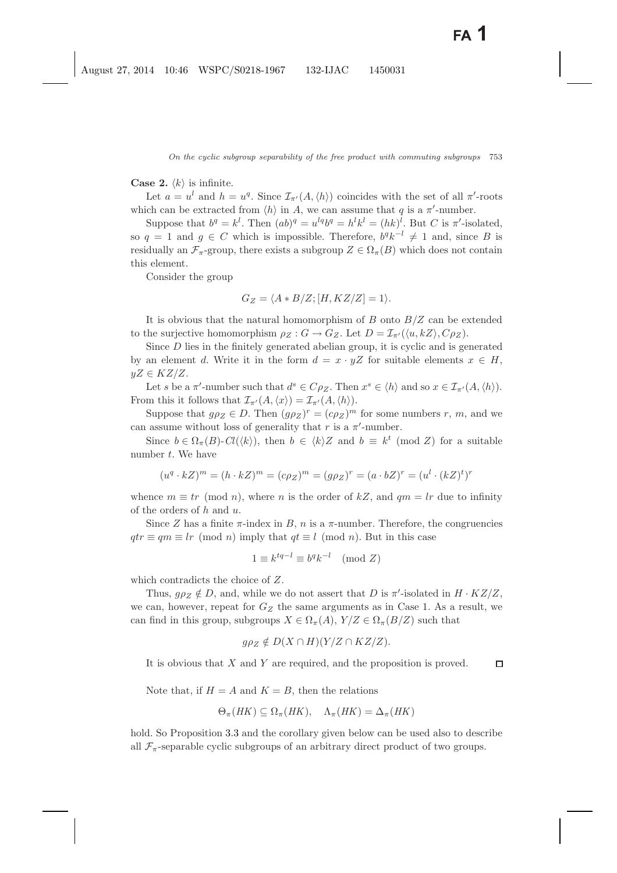**Case 2.**  $\langle k \rangle$  is infinite.

Let  $a = u^l$  and  $h = u^q$ . Since  $\mathcal{I}_{\pi'}(A, \langle h \rangle)$  coincides with the set of all  $\pi'$ -roots which can be extracted from  $\langle h \rangle$  in A, we can assume that q is a  $\pi'$ -number.

Suppose that  $b^q = k^l$ . Then  $(ab)^q = u^{lq}b^q = h^lk^l = (hk)^l$ . But C is  $\pi'$ -isolated, so  $q = 1$  and  $g \in C$  which is impossible. Therefore,  $b^q k^{-l} \neq 1$  and, since B is residually an  $\mathcal{F}_{\pi}$ -group, there exists a subgroup  $Z \in \Omega_{\pi}(B)$  which does not contain this element.

Consider the group

$$
G_Z = \langle A * B/Z; [H, KZ/Z] = 1 \rangle.
$$

It is obvious that the natural homomorphism of  $B$  onto  $B/Z$  can be extended to the surjective homomorphism  $\rho_Z : G \to G_Z$ . Let  $D = \mathcal{I}_{\pi'}(\langle u, kZ \rangle, C \rho_Z)$ .

Since D lies in the finitely generated abelian group, it is cyclic and is generated by an element d. Write it in the form  $d = x \cdot yZ$  for suitable elements  $x \in H$ ,  $yZ \in KZ/Z$ .

Let s be a  $\pi'$ -number such that  $d^s \in C \rho_Z$ . Then  $x^s \in \langle h \rangle$  and so  $x \in \mathcal{I}_{\pi'}(A, \langle h \rangle)$ . From this it follows that  $\mathcal{I}_{\pi}(A,\langle x\rangle)=\mathcal{I}_{\pi'}(A,\langle h\rangle).$ 

Suppose that  $g \rho_Z \in D$ . Then  $(g \rho_Z)^r = (c \rho_Z)^m$  for some numbers r, m, and we can assume without loss of generality that r is a  $\pi'$ -number.

Since  $b \in \Omega_{\pi}(B)$ - $Cl(\langle k \rangle)$ , then  $b \in \langle k \rangle Z$  and  $b \equiv k^t \pmod{Z}$  for a suitable number  $t$ . We have

$$
(u^q \cdot kZ)^m = (h \cdot kZ)^m = (c\rho_Z)^m = (g\rho_Z)^r = (a \cdot bZ)^r = (u^l \cdot (kZ)^t)^r
$$

whence  $m \equiv tr \pmod{n}$ , where *n* is the order of kZ, and  $qm = lr$  due to infinity of the orders of  $h$  and  $u$ .

Since Z has a finite  $\pi$ -index in B, n is a  $\pi$ -number. Therefore, the congruencies  $qtr \equiv qm \equiv lr \pmod{n}$  imply that  $qt \equiv l \pmod{n}$ . But in this case

$$
1 \equiv k^{tq-l} \equiv b^q k^{-l} \pmod{Z}
$$

which contradicts the choice of Z.

Thus,  $g\rho_Z \notin D$ , and, while we do not assert that D is  $\pi'$ -isolated in  $H \cdot KZ/Z$ , we can, however, repeat for  $G_Z$  the same arguments as in Case 1. As a result, we can find in this group, subgroups  $X \in \Omega_{\pi}(A)$ ,  $Y/Z \in \Omega_{\pi}(B/Z)$  such that

$$
g\rho_Z \notin D(X \cap H)(Y/Z \cap KZ/Z).
$$

It is obvious that  $X$  and  $Y$  are required, and the proposition is proved.  $\Box$ 

Note that, if  $H = A$  and  $K = B$ , then the relations

$$
\Theta_{\pi}(HK) \subseteq \Omega_{\pi}(HK), \quad \Lambda_{\pi}(HK) = \Delta_{\pi}(HK)
$$

hold. So Proposition [3.3](#page-10-1) and the corollary given below can be used also to describe all  $\mathcal{F}_{\pi}$ -separable cyclic subgroups of an arbitrary direct product of two groups.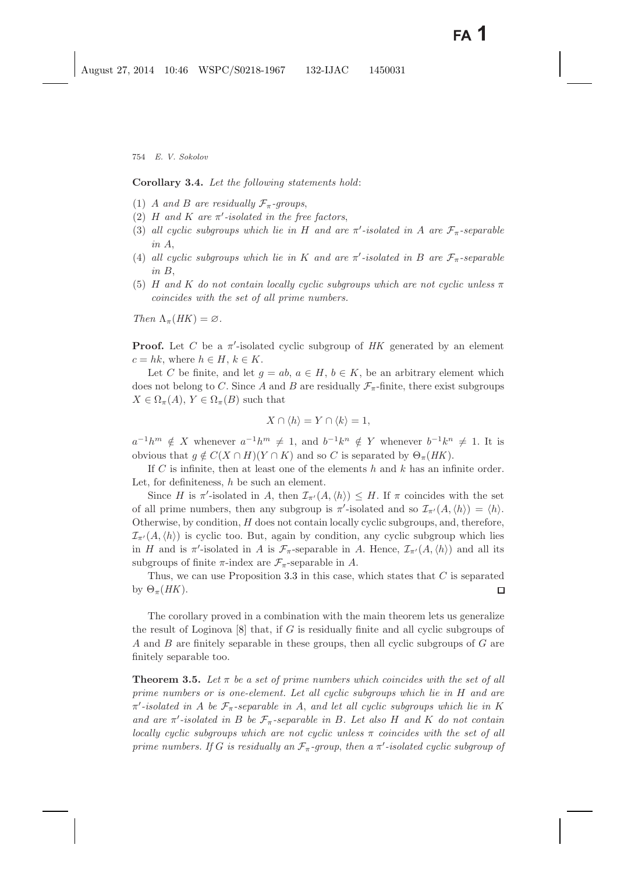<span id="page-13-0"></span>**Corollary 3.4.** *Let the following statements hold*:

- (1) A and B are residually  $\mathcal{F}_{\pi}$ -groups,
- (2)  $H$  *and*  $K$  *are*  $\pi'$ -isolated in the free factors,
- (3) all cyclic subgroups which lie in H and are  $\pi$ -isolated in A are  $\mathcal{F}_{\pi}$ -separable *in* A,
- (4) all cyclic subgroups which lie in K and are  $\pi$ -isolated in B are  $\mathcal{F}_{\pi}$ -separable *in* B,
- (5) H and K do not contain locally cyclic subgroups which are not cyclic unless  $\pi$ *coincides with the set of all prime numbers.*

*Then*  $\Lambda_{\pi}(HK) = \varnothing$ .

**Proof.** Let C be a π -isolated cyclic subgroup of *HK* generated by an element  $c = hk$ , where  $h \in H$ ,  $k \in K$ .

Let C be finite, and let  $g = ab$ ,  $a \in H$ ,  $b \in K$ , be an arbitrary element which does not belong to C. Since A and B are residually  $\mathcal{F}_{\pi}$ -finite, there exist subgroups  $X \in \Omega_{\pi}(A), Y \in \Omega_{\pi}(B)$  such that

$$
X \cap \langle h \rangle = Y \cap \langle k \rangle = 1,
$$

 $a^{-1}h^m \notin X$  whenever  $a^{-1}h^m \neq 1$ , and  $b^{-1}k^n \notin Y$  whenever  $b^{-1}k^n \neq 1$ . It is obvious that  $g \notin C(X \cap H)(Y \cap K)$  and so C is separated by  $\Theta_{\pi}(HK)$ .

If C is infinite, then at least one of the elements h and k has an infinite order. Let, for definiteness,  $h$  be such an element.

Since H is  $\pi'$ -isolated in A, then  $\mathcal{I}_{\pi'}(A,\langle h \rangle) \leq H$ . If  $\pi$  coincides with the set of all prime numbers, then any subgroup is  $\pi'$ -isolated and so  $\mathcal{I}_{\pi'}(A,\langle h \rangle) = \langle h \rangle$ . Otherwise, by condition,  $H$  does not contain locally cyclic subgroups, and, therefore,  $\mathcal{I}_{\pi'}(A,\langle h \rangle)$  is cyclic too. But, again by condition, any cyclic subgroup which lies in H and is  $\pi'$ -isolated in A is  $\mathcal{F}_{\pi}$ -separable in A. Hence,  $\mathcal{I}_{\pi'}(A,\langle h \rangle)$  and all its subgroups of finite  $\pi$ -index are  $\mathcal{F}_{\pi}$ -separable in A.

Thus, we can use Proposition [3.3](#page-10-2) in this case, which states that  $C$  is separated by  $\Theta_{\pi}(HK)$ .  $\Box$ 

The corollary proved in a combination with the main theorem lets us generalize the result of Loginova  $[8]$  that, if G is residually finite and all cyclic subgroups of A and B are finitely separable in these groups, then all cyclic subgroups of G are finitely separable too.

**Theorem 3.5.** Let  $\pi$  be a set of prime numbers which coincides with the set of all *prime numbers or is one-element. Let all cyclic subgroups which lie in* H *and are* π *-isolated in* A *be* Fπ*-separable in* A, *and let all cyclic subgroups which lie in* K *and are*  $\pi'$ -isolated in B be  $\mathcal{F}_{\pi}$ -separable in B. Let also H and K do not contain *locally cyclic subgroups which are not cyclic unless* π *coincides with the set of all prime numbers. If* G *is residually an*  $\mathcal{F}_{\pi}$ -group, then a  $\pi'$ -isolated cyclic subgroup of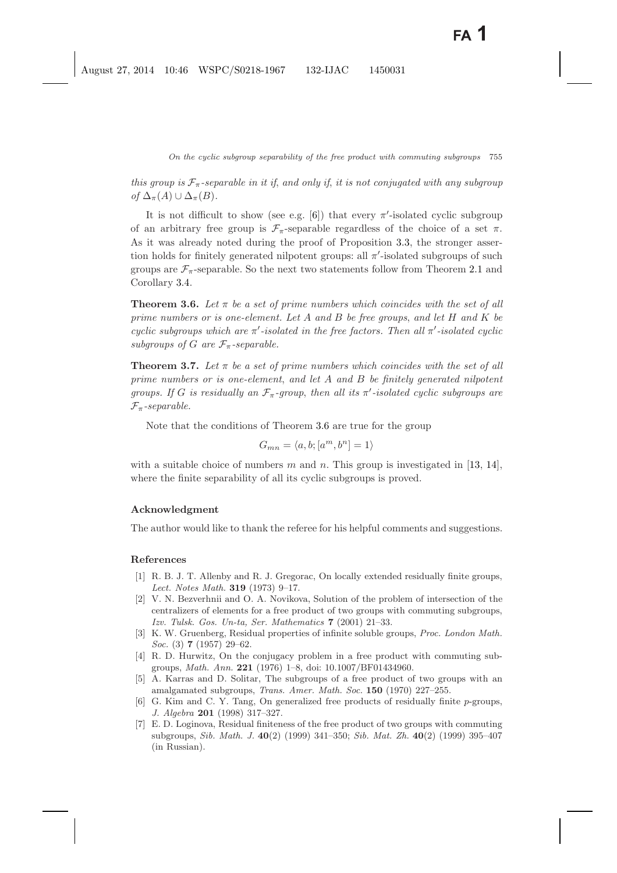*this group is*  $\mathcal{F}_{\pi}$ -separable in it if, and only if, it is not conjugated with any subgroup *of*  $\Delta_{\pi}(A) \cup \Delta_{\pi}(B)$ *.* 

It is not difficult to show (see e.g. [\[6\]](#page-14-8)) that every  $\pi'$ -isolated cyclic subgroup of an arbitrary free group is  $\mathcal{F}_{\pi}$ -separable regardless of the choice of a set  $\pi$ . As it was already noted during the proof of Proposition [3.3,](#page-10-1) the stronger assertion holds for finitely generated nilpotent groups: all  $\pi'$ -isolated subgroups of such groups are  $\mathcal{F}_{\pi}$ -separable. So the next two statements follow from Theorem [2.1](#page-5-0) and Corollary [3.4.](#page-13-0)

<span id="page-14-9"></span>**Theorem 3.6.** Let  $\pi$  be a set of prime numbers which coincides with the set of all *prime numbers or is one-element. Let* A *and* B *be free groups*, *and let* H *and* K *be cyclic subgroups which are* π *-isolated in the free factors. Then all* π *-isolated cyclic subgroups of* G are  $\mathcal{F}_{\pi}$ -separable.

**Theorem 3.7.** Let  $\pi$  be a set of prime numbers which coincides with the set of all *prime numbers or is one-element*, *and let* A *and* B *be finitely generated nilpotent groups.* If G is residually an  $\mathcal{F}_{\pi}$ -group, then all its  $\pi'$ -isolated cyclic subgroups are  $\mathcal{F}_{\pi}$ -separable.

Note that the conditions of Theorem [3.6](#page-14-9) are true for the group

$$
G_{mn} = \langle a, b; [a^m, b^n] = 1 \rangle
$$

with a suitable choice of numbers m and n. This group is investigated in [\[13,](#page-15-9) [14\]](#page-15-10), where the finite separability of all its cyclic subgroups is proved.

## **Acknowledgment**

The author would like to thank the referee for his helpful comments and suggestions.

### <span id="page-14-7"></span><span id="page-14-0"></span>**References**

- [1] R. B. J. T. Allenby and R. J. Gregorac, On locally extended residually finite groups, *Lect. Notes Math.* **319** (1973) 9–17.
- <span id="page-14-1"></span>[2] V. N. Bezverhnii and O. A. Novikova, Solution of the problem of intersection of the centralizers of elements for a free product of two groups with commuting subgroups, *Izv. Tulsk. Gos. Un-ta, Ser. Mathematics* **7** (2001) 21–33.
- <span id="page-14-6"></span>[3] K. W. Gruenberg, Residual properties of infinite soluble groups, *Proc. London Math. Soc.* (3) **7** (1957) 29–62.
- <span id="page-14-2"></span>[4] R. D. Hurwitz, On the conjugacy problem in a free product with commuting subgroups, *Math. Ann.* **221** (1976) 1–8, doi: 10.1007/BF01434960.
- <span id="page-14-5"></span>[5] A. Karras and D. Solitar, The subgroups of a free product of two groups with an amalgamated subgroups, *Trans. Amer. Math. Soc.* **150** (1970) 227–255.
- <span id="page-14-8"></span>[6] G. Kim and C. Y. Tang, On generalized free products of residually finite *p*-groups, *J. Algebra* **201** (1998) 317–327.
- <span id="page-14-4"></span><span id="page-14-3"></span>[7] E. D. Loginova, Residual finiteness of the free product of two groups with commuting subgroups, *Sib. Math. J.* **40**(2) (1999) 341–350; *Sib. Mat. Zh.* **40**(2) (1999) 395–407 (in Russian).